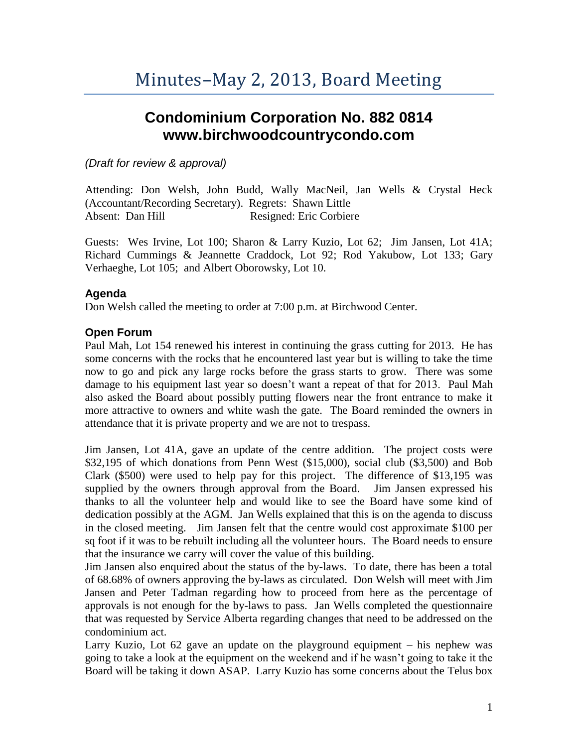# **Condominium Corporation No. 882 0814 www.birchwoodcountrycondo.com**

#### *(Draft for review & approval)*

Attending: Don Welsh, John Budd, Wally MacNeil, Jan Wells & Crystal Heck (Accountant/Recording Secretary). Regrets: Shawn Little Absent: Dan Hill Resigned: Eric Corbiere

Guests: Wes Irvine, Lot 100; Sharon & Larry Kuzio, Lot 62; Jim Jansen, Lot 41A; Richard Cummings & Jeannette Craddock, Lot 92; Rod Yakubow, Lot 133; Gary Verhaeghe, Lot 105; and Albert Oborowsky, Lot 10.

#### **Agenda**

Don Welsh called the meeting to order at 7:00 p.m. at Birchwood Center.

### **Open Forum**

Paul Mah, Lot 154 renewed his interest in continuing the grass cutting for 2013. He has some concerns with the rocks that he encountered last year but is willing to take the time now to go and pick any large rocks before the grass starts to grow. There was some damage to his equipment last year so doesn't want a repeat of that for 2013. Paul Mah also asked the Board about possibly putting flowers near the front entrance to make it more attractive to owners and white wash the gate. The Board reminded the owners in attendance that it is private property and we are not to trespass.

Jim Jansen, Lot 41A, gave an update of the centre addition. The project costs were \$32,195 of which donations from Penn West (\$15,000), social club (\$3,500) and Bob Clark (\$500) were used to help pay for this project. The difference of \$13,195 was supplied by the owners through approval from the Board. Jim Jansen expressed his thanks to all the volunteer help and would like to see the Board have some kind of dedication possibly at the AGM. Jan Wells explained that this is on the agenda to discuss in the closed meeting. Jim Jansen felt that the centre would cost approximate \$100 per sq foot if it was to be rebuilt including all the volunteer hours. The Board needs to ensure that the insurance we carry will cover the value of this building.

Jim Jansen also enquired about the status of the by-laws. To date, there has been a total of 68.68% of owners approving the by-laws as circulated. Don Welsh will meet with Jim Jansen and Peter Tadman regarding how to proceed from here as the percentage of approvals is not enough for the by-laws to pass. Jan Wells completed the questionnaire that was requested by Service Alberta regarding changes that need to be addressed on the condominium act.

Larry Kuzio, Lot 62 gave an update on the playground equipment – his nephew was going to take a look at the equipment on the weekend and if he wasn't going to take it the Board will be taking it down ASAP. Larry Kuzio has some concerns about the Telus box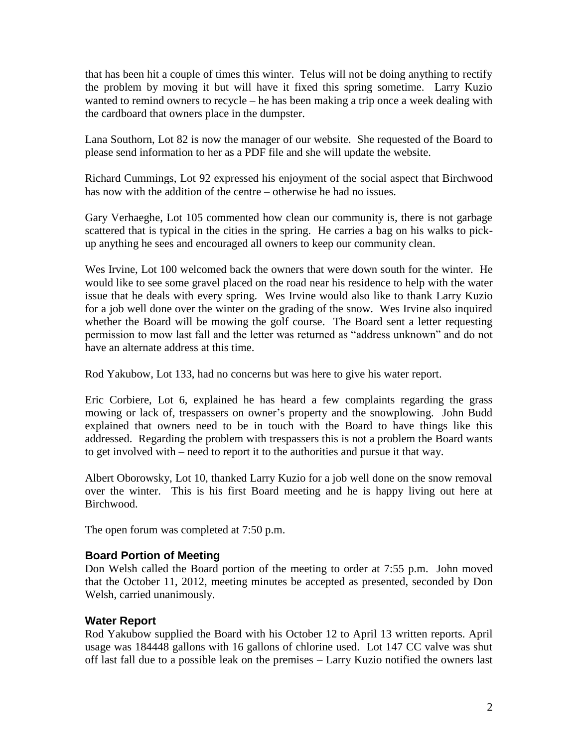that has been hit a couple of times this winter. Telus will not be doing anything to rectify the problem by moving it but will have it fixed this spring sometime. Larry Kuzio wanted to remind owners to recycle – he has been making a trip once a week dealing with the cardboard that owners place in the dumpster.

Lana Southorn, Lot 82 is now the manager of our website. She requested of the Board to please send information to her as a PDF file and she will update the website.

Richard Cummings, Lot 92 expressed his enjoyment of the social aspect that Birchwood has now with the addition of the centre – otherwise he had no issues.

Gary Verhaeghe, Lot 105 commented how clean our community is, there is not garbage scattered that is typical in the cities in the spring. He carries a bag on his walks to pickup anything he sees and encouraged all owners to keep our community clean.

Wes Irvine, Lot 100 welcomed back the owners that were down south for the winter. He would like to see some gravel placed on the road near his residence to help with the water issue that he deals with every spring. Wes Irvine would also like to thank Larry Kuzio for a job well done over the winter on the grading of the snow. Wes Irvine also inquired whether the Board will be mowing the golf course. The Board sent a letter requesting permission to mow last fall and the letter was returned as "address unknown" and do not have an alternate address at this time.

Rod Yakubow, Lot 133, had no concerns but was here to give his water report.

Eric Corbiere, Lot 6, explained he has heard a few complaints regarding the grass mowing or lack of, trespassers on owner's property and the snowplowing. John Budd explained that owners need to be in touch with the Board to have things like this addressed. Regarding the problem with trespassers this is not a problem the Board wants to get involved with – need to report it to the authorities and pursue it that way.

Albert Oborowsky, Lot 10, thanked Larry Kuzio for a job well done on the snow removal over the winter. This is his first Board meeting and he is happy living out here at Birchwood.

The open forum was completed at 7:50 p.m.

#### **Board Portion of Meeting**

Don Welsh called the Board portion of the meeting to order at 7:55 p.m. John moved that the October 11, 2012, meeting minutes be accepted as presented, seconded by Don Welsh, carried unanimously.

#### **Water Report**

Rod Yakubow supplied the Board with his October 12 to April 13 written reports. April usage was 184448 gallons with 16 gallons of chlorine used. Lot 147 CC valve was shut off last fall due to a possible leak on the premises – Larry Kuzio notified the owners last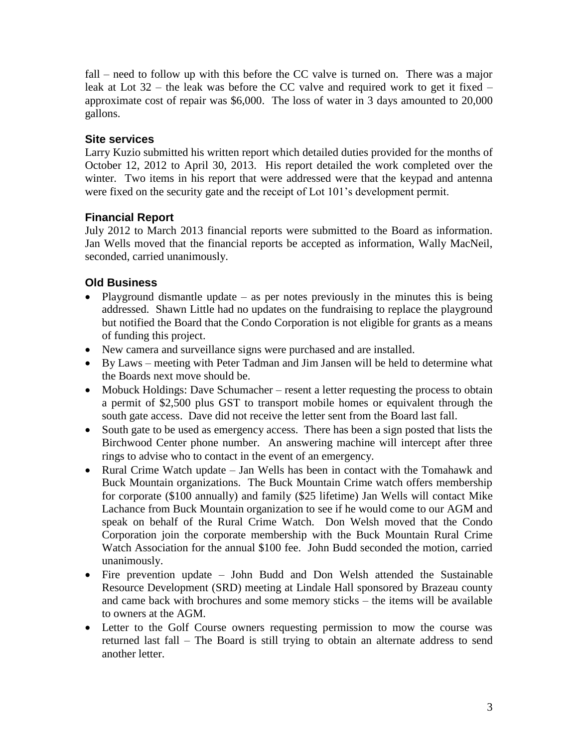fall – need to follow up with this before the CC valve is turned on. There was a major leak at Lot  $32$  – the leak was before the CC valve and required work to get it fixed – approximate cost of repair was \$6,000. The loss of water in 3 days amounted to 20,000 gallons.

#### **Site services**

Larry Kuzio submitted his written report which detailed duties provided for the months of October 12, 2012 to April 30, 2013. His report detailed the work completed over the winter. Two items in his report that were addressed were that the keypad and antenna were fixed on the security gate and the receipt of Lot 101's development permit.

#### **Financial Report**

July 2012 to March 2013 financial reports were submitted to the Board as information. Jan Wells moved that the financial reports be accepted as information, Wally MacNeil, seconded, carried unanimously.

### **Old Business**

- Playground dismantle update as per notes previously in the minutes this is being addressed. Shawn Little had no updates on the fundraising to replace the playground but notified the Board that the Condo Corporation is not eligible for grants as a means of funding this project.
- New camera and surveillance signs were purchased and are installed.
- By Laws meeting with Peter Tadman and Jim Jansen will be held to determine what the Boards next move should be.
- Mobuck Holdings: Dave Schumacher resent a letter requesting the process to obtain a permit of \$2,500 plus GST to transport mobile homes or equivalent through the south gate access. Dave did not receive the letter sent from the Board last fall.
- South gate to be used as emergency access. There has been a sign posted that lists the Birchwood Center phone number. An answering machine will intercept after three rings to advise who to contact in the event of an emergency.
- Rural Crime Watch update Jan Wells has been in contact with the Tomahawk and Buck Mountain organizations. The Buck Mountain Crime watch offers membership for corporate (\$100 annually) and family (\$25 lifetime) Jan Wells will contact Mike Lachance from Buck Mountain organization to see if he would come to our AGM and speak on behalf of the Rural Crime Watch. Don Welsh moved that the Condo Corporation join the corporate membership with the Buck Mountain Rural Crime Watch Association for the annual \$100 fee. John Budd seconded the motion, carried unanimously.
- Fire prevention update John Budd and Don Welsh attended the Sustainable Resource Development (SRD) meeting at Lindale Hall sponsored by Brazeau county and came back with brochures and some memory sticks – the items will be available to owners at the AGM.
- Letter to the Golf Course owners requesting permission to mow the course was returned last fall – The Board is still trying to obtain an alternate address to send another letter.